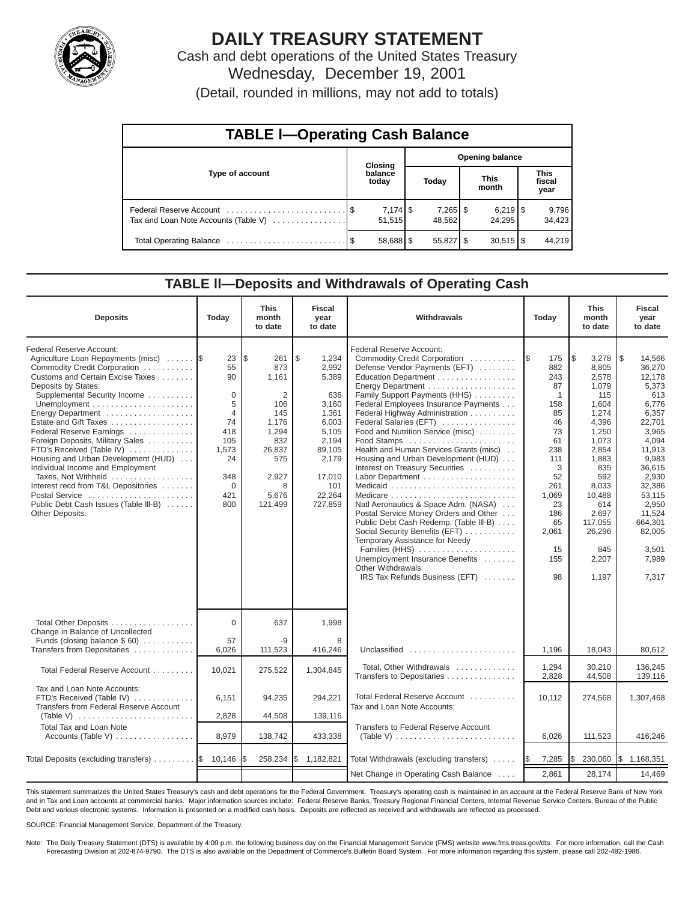

# **DAILY TREASURY STATEMENT**

Cash and debt operations of the United States Treasury Wednesday, December 19, 2001

(Detail, rounded in millions, may not add to totals)

| <b>TABLE I-Operating Cash Balance</b> |  |                      |  |                                 |                                   |                        |  |                               |  |  |  |
|---------------------------------------|--|----------------------|--|---------------------------------|-----------------------------------|------------------------|--|-------------------------------|--|--|--|
|                                       |  |                      |  |                                 | <b>Opening balance</b><br>Closing |                        |  |                               |  |  |  |
| Type of account                       |  | balance<br>today     |  | Today                           |                                   | <b>This</b><br>month   |  | <b>This</b><br>fiscal<br>year |  |  |  |
| Tax and Loan Note Accounts (Table V)  |  | $7,174$ \$<br>51,515 |  | $7,265$ $\frac{1}{3}$<br>48.562 |                                   | 24.295                 |  | 9,796<br>34,423               |  |  |  |
|                                       |  | 58,688 \$            |  | 55,827   \$                     |                                   | $30,515$ $\frac{8}{3}$ |  | 44.219                        |  |  |  |

#### **TABLE ll—Deposits and Withdrawals of Operating Cash**

| <b>Deposits</b>                                                                                                                                                                                                                                                                                                                                                                                                                                                                                                                                             | Today                                                                                                             | <b>This</b><br>month<br>to date                                                                                                   | <b>Fiscal</b><br>year<br>to date                                                                                                           | Withdrawals                                                                                                                                                                                                                                                                                                                                                                                                                                                                                                                                                                                                                                                                                                                                                                          | Today                                                                                                                                                      | <b>This</b><br>month<br>to date                                                                                                                                                                              | <b>Fiscal</b><br>year<br>to date                                                                                                                                                                                                    |
|-------------------------------------------------------------------------------------------------------------------------------------------------------------------------------------------------------------------------------------------------------------------------------------------------------------------------------------------------------------------------------------------------------------------------------------------------------------------------------------------------------------------------------------------------------------|-------------------------------------------------------------------------------------------------------------------|-----------------------------------------------------------------------------------------------------------------------------------|--------------------------------------------------------------------------------------------------------------------------------------------|--------------------------------------------------------------------------------------------------------------------------------------------------------------------------------------------------------------------------------------------------------------------------------------------------------------------------------------------------------------------------------------------------------------------------------------------------------------------------------------------------------------------------------------------------------------------------------------------------------------------------------------------------------------------------------------------------------------------------------------------------------------------------------------|------------------------------------------------------------------------------------------------------------------------------------------------------------|--------------------------------------------------------------------------------------------------------------------------------------------------------------------------------------------------------------|-------------------------------------------------------------------------------------------------------------------------------------------------------------------------------------------------------------------------------------|
| Federal Reserve Account:<br>Agriculture Loan Repayments (misc)<br>Commodity Credit Corporation<br>Customs and Certain Excise Taxes<br>Deposits by States:<br>Supplemental Security Income<br>Energy Department<br>Estate and Gift Taxes<br>Federal Reserve Earnings<br>Foreign Deposits, Military Sales<br>FTD's Received (Table IV)<br>Housing and Urban Development (HUD)<br>Individual Income and Employment<br>Taxes, Not Withheld<br>Interest recd from T&L Depositories<br>Postal Service<br>Public Debt Cash Issues (Table III-B)<br>Other Deposits: | 23<br>55<br>90<br>0<br>5<br>$\overline{4}$<br>74<br>418<br>105<br>1,573<br>24<br>348<br>$\mathbf 0$<br>421<br>800 | l\$<br>261<br>873<br>1,161<br>$\overline{2}$<br>106<br>145<br>1,176<br>1,294<br>832<br>26,837<br>575<br>2,927<br>5,676<br>121,499 | \$<br>1,234<br>2,992<br>5,389<br>636<br>3,160<br>1,361<br>6,003<br>5,105<br>2,194<br>89,105<br>2,179<br>17,010<br>101<br>22,264<br>727,859 | Federal Reserve Account:<br>Commodity Credit Corporation<br>Defense Vendor Payments (EFT)<br>Education Department<br>Energy Department<br>Family Support Payments (HHS)<br>Federal Employees Insurance Payments<br>Federal Highway Administration<br>Federal Salaries (EFT)<br>Food and Nutrition Service (misc)<br>Food Stamps<br>Health and Human Services Grants (misc)<br>Housing and Urban Development (HUD)<br>Interest on Treasury Securities<br>Labor Department<br>Natl Aeronautics & Space Adm. (NASA)<br>Postal Service Money Orders and Other<br>Public Debt Cash Redemp. (Table III-B)<br>Social Security Benefits (EFT)<br>Temporary Assistance for Needy<br>Families (HHS)<br>Unemployment Insurance Benefits<br>Other Withdrawals:<br>IRS Tax Refunds Business (EFT) | 175<br>I\$<br>882<br>243<br>87<br>1<br>158<br>85<br>46<br>73<br>61<br>238<br>111<br>3<br>52<br>261<br>1,069<br>23<br>186<br>65<br>2,061<br>15<br>155<br>98 | l\$<br>3,278<br>8,805<br>2,578<br>1,079<br>115<br>1,604<br>1,274<br>4,396<br>1,250<br>1,073<br>2,854<br>1,883<br>835<br>592<br>8,033<br>10,488<br>614<br>2,697<br>117,055<br>26,296<br>845<br>2,207<br>1.197 | $\sqrt{3}$<br>14,566<br>36,270<br>12,178<br>5,373<br>613<br>6,776<br>6,357<br>22,701<br>3,965<br>4,094<br>11,913<br>9,983<br>36,615<br>2,930<br>32,386<br>53,115<br>2,950<br>11,524<br>664,301<br>82,005<br>3.501<br>7.989<br>7.317 |
| Total Other Deposits<br>Change in Balance of Uncollected<br>Funds (closing balance \$60)                                                                                                                                                                                                                                                                                                                                                                                                                                                                    | $\Omega$<br>57                                                                                                    | 637<br>-9                                                                                                                         | 1,998<br>8                                                                                                                                 |                                                                                                                                                                                                                                                                                                                                                                                                                                                                                                                                                                                                                                                                                                                                                                                      |                                                                                                                                                            |                                                                                                                                                                                                              |                                                                                                                                                                                                                                     |
| Transfers from Depositaries                                                                                                                                                                                                                                                                                                                                                                                                                                                                                                                                 | 6,026                                                                                                             | 111,523                                                                                                                           | 416,246                                                                                                                                    | Unclassified                                                                                                                                                                                                                                                                                                                                                                                                                                                                                                                                                                                                                                                                                                                                                                         | 1,196                                                                                                                                                      | 18,043                                                                                                                                                                                                       | 80,612                                                                                                                                                                                                                              |
| Total Federal Reserve Account                                                                                                                                                                                                                                                                                                                                                                                                                                                                                                                               | 10,021                                                                                                            | 275,522                                                                                                                           | 1,304,845                                                                                                                                  | Total, Other Withdrawals<br>Transfers to Depositaries                                                                                                                                                                                                                                                                                                                                                                                                                                                                                                                                                                                                                                                                                                                                | 1,294<br>2,828                                                                                                                                             | 30.210<br>44,508                                                                                                                                                                                             | 136.245<br>139,116                                                                                                                                                                                                                  |
| Tax and Loan Note Accounts:<br>FTD's Received (Table IV)<br>Transfers from Federal Reserve Account                                                                                                                                                                                                                                                                                                                                                                                                                                                          | 6,151                                                                                                             | 94,235                                                                                                                            | 294,221                                                                                                                                    | Total Federal Reserve Account<br>Tax and Loan Note Accounts:                                                                                                                                                                                                                                                                                                                                                                                                                                                                                                                                                                                                                                                                                                                         | 10,112                                                                                                                                                     | 274,568                                                                                                                                                                                                      | 1,307,468                                                                                                                                                                                                                           |
| (Table V) $\ldots \ldots \ldots \ldots \ldots \ldots \ldots \ldots$<br><b>Total Tax and Loan Note</b>                                                                                                                                                                                                                                                                                                                                                                                                                                                       | 2,828                                                                                                             | 44,508                                                                                                                            | 139,116                                                                                                                                    | <b>Transfers to Federal Reserve Account</b>                                                                                                                                                                                                                                                                                                                                                                                                                                                                                                                                                                                                                                                                                                                                          |                                                                                                                                                            |                                                                                                                                                                                                              |                                                                                                                                                                                                                                     |
| Accounts (Table V)                                                                                                                                                                                                                                                                                                                                                                                                                                                                                                                                          | 8,979                                                                                                             | 138,742                                                                                                                           | 433,338                                                                                                                                    | (Table V) $\ldots \ldots \ldots \ldots \ldots \ldots \ldots \ldots$                                                                                                                                                                                                                                                                                                                                                                                                                                                                                                                                                                                                                                                                                                                  | 6,026                                                                                                                                                      | 111,523                                                                                                                                                                                                      | 416,246                                                                                                                                                                                                                             |
| Total Deposits (excluding transfers) $\ldots \ldots$ $\frac{1}{3}$ 10,146                                                                                                                                                                                                                                                                                                                                                                                                                                                                                   |                                                                                                                   | 258,234                                                                                                                           | \$1,182,821                                                                                                                                | Total Withdrawals (excluding transfers)                                                                                                                                                                                                                                                                                                                                                                                                                                                                                                                                                                                                                                                                                                                                              | 7,285<br><b>IS</b>                                                                                                                                         | l\$<br>230,060                                                                                                                                                                                               | \$1,168,351                                                                                                                                                                                                                         |
|                                                                                                                                                                                                                                                                                                                                                                                                                                                                                                                                                             |                                                                                                                   |                                                                                                                                   |                                                                                                                                            | Net Change in Operating Cash Balance                                                                                                                                                                                                                                                                                                                                                                                                                                                                                                                                                                                                                                                                                                                                                 | 2,861                                                                                                                                                      | 28,174                                                                                                                                                                                                       | 14,469                                                                                                                                                                                                                              |

This statement summarizes the United States Treasury's cash and debt operations for the Federal Government. Treasury's operating cash is maintained in an account at the Federal Reserve Bank of New York and in Tax and Loan accounts at commercial banks. Major information sources include: Federal Reserve Banks, Treasury Regional Financial Centers, Internal Revenue Service Centers, Bureau of the Public Debt and various electronic systems. Information is presented on a modified cash basis. Deposits are reflected as received and withdrawals are reflected as processed.

SOURCE: Financial Management Service, Department of the Treasury.

Note: The Daily Treasury Statement (DTS) is available by 4:00 p.m. the following business day on the Financial Management Service (FMS) website www.fms.treas.gov/dts. For more information, call the Cash Forecasting Division at 202-874-9790. The DTS is also available on the Department of Commerce's Bulletin Board System. For more information regarding this system, please call 202-482-1986.